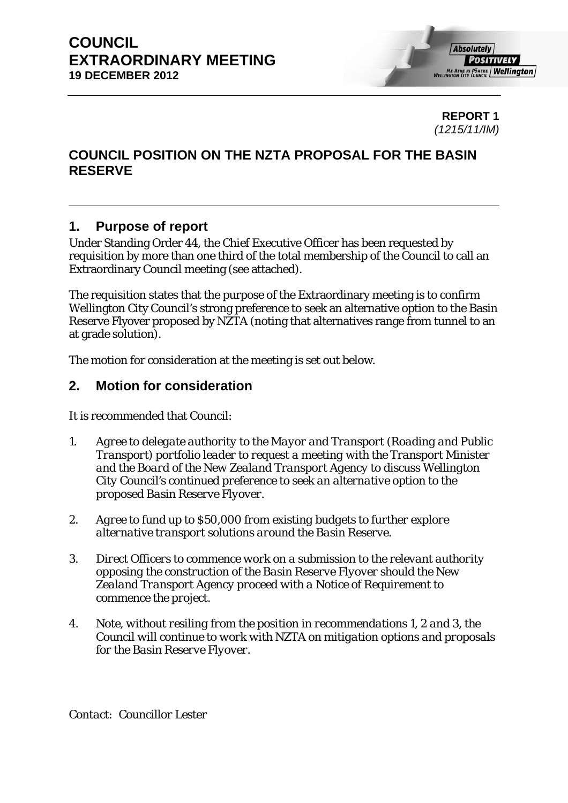**REPORT 1**  *(1215/11/IM)* 

## **COUNCIL POSITION ON THE NZTA PROPOSAL FOR THE BASIN RESERVE**

## **1. Purpose of report**

Under Standing Order 44, the Chief Executive Officer has been requested by requisition by more than one third of the total membership of the Council to call an Extraordinary Council meeting (see attached).

The requisition states that the purpose of the Extraordinary meeting is to confirm Wellington City Council's strong preference to seek an alternative option to the Basin Reserve Flyover proposed by NZTA (noting that alternatives range from tunnel to an at grade solution).

The motion for consideration at the meeting is set out below.

## **2. Motion for consideration**

It is recommended that Council:

- *1. Agree to delegate authority to the Mayor and Transport (Roading and Public Transport) portfolio leader to request a meeting with the Transport Minister and the Board of the New Zealand Transport Agency to discuss Wellington City Council's continued preference to seek an alternative option to the proposed Basin Reserve Flyover.*
- *2. Agree to fund up to \$50,000 from existing budgets to further explore alternative transport solutions around the Basin Reserve.*
- *3. Direct Officers to commence work on a submission to the relevant authority opposing the construction of the Basin Reserve Flyover should the New Zealand Transport Agency proceed with a Notice of Requirement to commence the project.*
- *4. Note, without resiling from the position in recommendations 1, 2 and 3, the Council will continue to work with NZTA on mitigation options and proposals for the Basin Reserve Flyover.*

*Contact: Councillor Lester*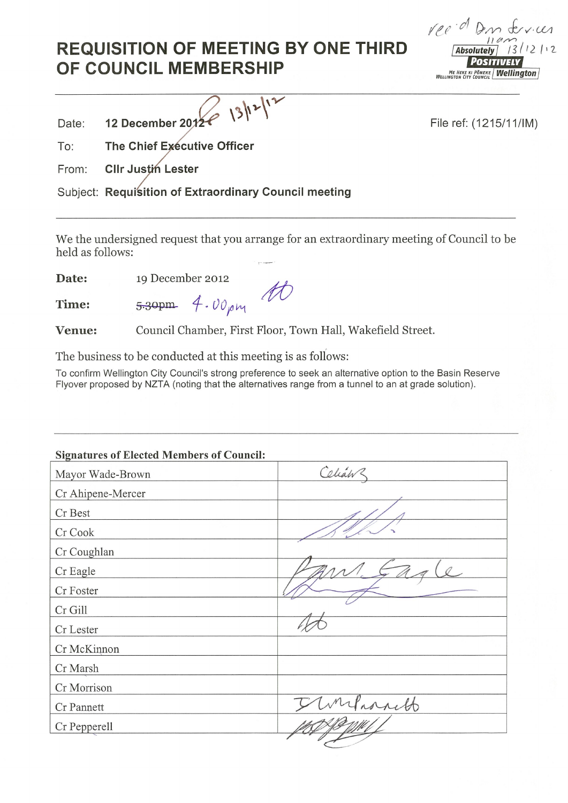## **REQUISITION OF MEETING BY ONE THIRD** OF COUNCIL MEMBERSHIP

reed Don frances  $13/12112$ **Absolutely** POSITIVELY ME HEKE KI PÖNEKE **Wellington** 

| $\sim$ December 2018 13/12/1 |  |
|------------------------------|--|
|                              |  |
|                              |  |

File ref: (1215/11/IM)

To: The Chief Executive Officer

From: **CIIr Justin Lester** 

Subject: Requisition of Extraordinary Council meeting

We the undersigned request that you arrange for an extraordinary meeting of Council to be held as follows:

19 December 2012 Date:

5.30pm

Time:

Date:

Council Chamber, First Floor, Town Hall, Wakefield Street. Venue:

 $4.00 \mu m$ 

The business to be conducted at this meeting is as follows:

To confirm Wellington City Council's strong preference to seek an alternative option to the Basin Reserve Flyover proposed by NZTA (noting that the alternatives range from a tunnel to an at grade solution).

| <b>Signatures of Elected Members of Council:</b> |         |
|--------------------------------------------------|---------|
| Mayor Wade-Brown                                 | Celianz |
| Cr Ahipene-Mercer                                |         |
| Cr Best                                          |         |
| Cr Cook                                          |         |
| Cr Coughlan                                      |         |
| Cr Eagle                                         |         |
| Cr Foster                                        |         |
| Cr Gill                                          |         |
| Cr Lester                                        |         |
| Cr McKinnon                                      |         |
| Cr Marsh                                         |         |
| Cr Morrison                                      |         |
| Cr Pannett                                       | whitt   |
| Cr Pepperell                                     |         |
|                                                  |         |